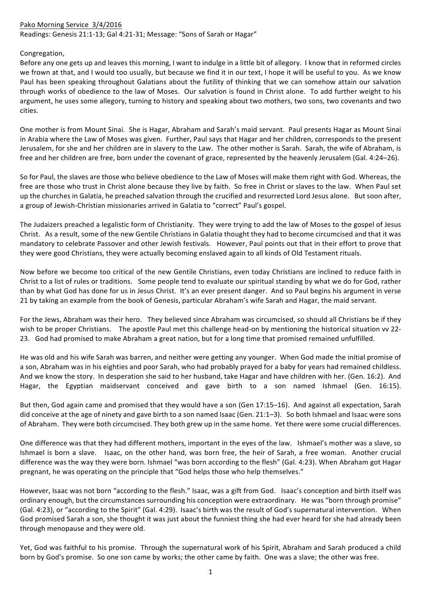## Pako Morning Service 3/4/2016 Readings: Genesis 21:1-13; Gal 4:21-31; Message: "Sons of Sarah or Hagar"

## Congregation,

Before any one gets up and leaves this morning, I want to indulge in a little bit of allegory. I know that in reformed circles we frown at that, and I would too usually, but because we find it in our text, I hope it will be useful to you. As we know Paul has been speaking throughout Galatians about the futility of thinking that we can somehow attain our salvation through works of obedience to the law of Moses. Our salvation is found in Christ alone. To add further weight to his argument, he uses some allegory, turning to history and speaking about two mothers, two sons, two covenants and two cities. 

One mother is from Mount Sinai. She is Hagar, Abraham and Sarah's maid servant. Paul presents Hagar as Mount Sinai in Arabia where the Law of Moses was given. Further, Paul says that Hagar and her children, corresponds to the present Jerusalem, for she and her children are in slavery to the Law. The other mother is Sarah. Sarah, the wife of Abraham, is free and her children are free, born under the covenant of grace, represented by the heavenly Jerusalem (Gal. 4:24–26).

So for Paul, the slaves are those who believe obedience to the Law of Moses will make them right with God. Whereas, the free are those who trust in Christ alone because they live by faith. So free in Christ or slaves to the law. When Paul set up the churches in Galatia, he preached salvation through the crucified and resurrected Lord Jesus alone. But soon after, a group of Jewish-Christian missionaries arrived in Galatia to "correct" Paul's gospel.

The Judaizers preached a legalistic form of Christianity. They were trying to add the law of Moses to the gospel of Jesus Christ. As a result, some of the new Gentile Christians in Galatia thought they had to become circumcised and that it was mandatory to celebrate Passover and other Jewish festivals. However, Paul points out that in their effort to prove that they were good Christians, they were actually becoming enslaved again to all kinds of Old Testament rituals.

Now before we become too critical of the new Gentile Christians, even today Christians are inclined to reduce faith in Christ to a list of rules or traditions. Some people tend to evaluate our spiritual standing by what we do for God, rather than by what God has done for us in Jesus Christ. It's an ever present danger. And so Paul begins his argument in verse 21 by taking an example from the book of Genesis, particular Abraham's wife Sarah and Hagar, the maid servant.

For the Jews, Abraham was their hero. They believed since Abraham was circumcised, so should all Christians be if they wish to be proper Christians. The apostle Paul met this challenge head-on by mentioning the historical situation vv 22-23. God had promised to make Abraham a great nation, but for a long time that promised remained unfulfilled.

He was old and his wife Sarah was barren, and neither were getting any younger. When God made the initial promise of a son, Abraham was in his eighties and poor Sarah, who had probably prayed for a baby for years had remained childless. And we know the story. In desperation she said to her husband, take Hagar and have children with her. (Gen. 16:2). And Hagar, the Egyptian maidservant conceived and gave birth to a son named Ishmael (Gen. 16:15).

But then, God again came and promised that they would have a son (Gen 17:15–16). And against all expectation, Sarah did conceive at the age of ninety and gave birth to a son named Isaac (Gen. 21:1–3). So both Ishmael and Isaac were sons of Abraham. They were both circumcised. They both grew up in the same home. Yet there were some crucial differences.

One difference was that they had different mothers, important in the eyes of the law. Ishmael's mother was a slave, so Ishmael is born a slave. Isaac, on the other hand, was born free, the heir of Sarah, a free woman. Another crucial difference was the way they were born. Ishmael "was born according to the flesh" (Gal. 4:23). When Abraham got Hagar pregnant, he was operating on the principle that "God helps those who help themselves."

However, Isaac was not born "according to the flesh." Isaac, was a gift from God. Isaac's conception and birth itself was ordinary enough, but the circumstances surrounding his conception were extraordinary. He was "born through promise" (Gal. 4:23), or "according to the Spirit" (Gal. 4:29). Isaac's birth was the result of God's supernatural intervention. When God promised Sarah a son, she thought it was just about the funniest thing she had ever heard for she had already been through menopause and they were old.

Yet, God was faithful to his promise. Through the supernatural work of his Spirit, Abraham and Sarah produced a child born by God's promise. So one son came by works; the other came by faith. One was a slave; the other was free.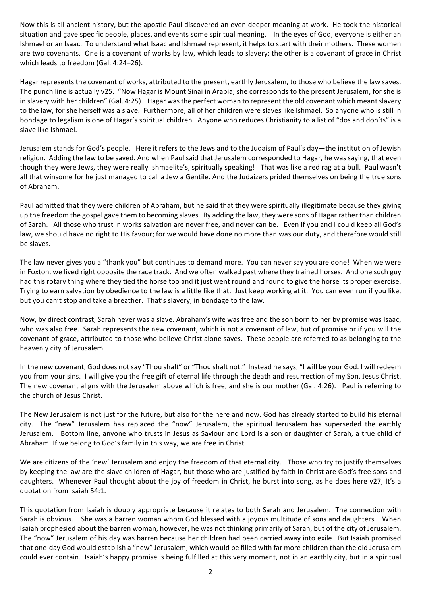Now this is all ancient history, but the apostle Paul discovered an even deeper meaning at work. He took the historical situation and gave specific people, places, and events some spiritual meaning. In the eyes of God, everyone is either an Ishmael or an Isaac. To understand what Isaac and Ishmael represent, it helps to start with their mothers. These women are two covenants. One is a covenant of works by law, which leads to slavery; the other is a covenant of grace in Christ which leads to freedom (Gal. 4:24-26).

Hagar represents the covenant of works, attributed to the present, earthly Jerusalem, to those who believe the law saves. The punch line is actually v25. "Now Hagar is Mount Sinai in Arabia; she corresponds to the present Jerusalem, for she is in slavery with her children" (Gal. 4:25). Hagar was the perfect woman to represent the old covenant which meant slavery to the law, for she herself was a slave. Furthermore, all of her children were slaves like Ishmael. So anyone who is still in bondage to legalism is one of Hagar's spiritual children. Anyone who reduces Christianity to a list of "dos and don'ts" is a slave like Ishmael.

Jerusalem stands for God's people. Here it refers to the Jews and to the Judaism of Paul's day—the institution of Jewish religion. Adding the law to be saved. And when Paul said that Jerusalem corresponded to Hagar, he was saying, that even though they were Jews, they were really Ishmaelite's, spiritually speaking! That was like a red rag at a bull. Paul wasn't all that winsome for he just managed to call a Jew a Gentile. And the Judaizers prided themselves on being the true sons of Abraham.

Paul admitted that they were children of Abraham, but he said that they were spiritually illegitimate because they giving up the freedom the gospel gave them to becoming slaves. By adding the law, they were sons of Hagar rather than children of Sarah. All those who trust in works salvation are never free, and never can be. Even if you and I could keep all God's law, we should have no right to His favour; for we would have done no more than was our duty, and therefore would still be slaves.

The law never gives you a "thank you" but continues to demand more. You can never say you are done! When we were in Foxton, we lived right opposite the race track. And we often walked past where they trained horses. And one such guy had this rotary thing where they tied the horse too and it just went round and round to give the horse its proper exercise. Trying to earn salvation by obedience to the law is a little like that. Just keep working at it. You can even run if you like, but you can't stop and take a breather. That's slavery, in bondage to the law.

Now, by direct contrast, Sarah never was a slave. Abraham's wife was free and the son born to her by promise was Isaac, who was also free. Sarah represents the new covenant, which is not a covenant of law, but of promise or if you will the covenant of grace, attributed to those who believe Christ alone saves. These people are referred to as belonging to the heavenly city of Jerusalem.

In the new covenant, God does not say "Thou shalt" or "Thou shalt not." Instead he says, "I will be your God. I will redeem you from your sins. I will give you the free gift of eternal life through the death and resurrection of my Son, Jesus Christ. The new covenant aligns with the Jerusalem above which is free, and she is our mother (Gal. 4:26). Paul is referring to the church of Jesus Christ.

The New Jerusalem is not just for the future, but also for the here and now. God has already started to build his eternal city. The "new" Jerusalem has replaced the "now" Jerusalem, the spiritual Jerusalem has superseded the earthly Jerusalem. Bottom line, anyone who trusts in Jesus as Saviour and Lord is a son or daughter of Sarah, a true child of Abraham. If we belong to God's family in this way, we are free in Christ.

We are citizens of the 'new' Jerusalem and enjoy the freedom of that eternal city. Those who try to justify themselves by keeping the law are the slave children of Hagar, but those who are justified by faith in Christ are God's free sons and daughters. Whenever Paul thought about the joy of freedom in Christ, he burst into song, as he does here v27; It's a quotation from Isaiah 54:1.

This quotation from Isaiah is doubly appropriate because it relates to both Sarah and Jerusalem. The connection with Sarah is obvious. She was a barren woman whom God blessed with a joyous multitude of sons and daughters. When Isaiah prophesied about the barren woman, however, he was not thinking primarily of Sarah, but of the city of Jerusalem. The "now" Jerusalem of his day was barren because her children had been carried away into exile. But Isaiah promised that one-day God would establish a "new" Jerusalem, which would be filled with far more children than the old Jerusalem could ever contain. Isaiah's happy promise is being fulfilled at this very moment, not in an earthly city, but in a spiritual